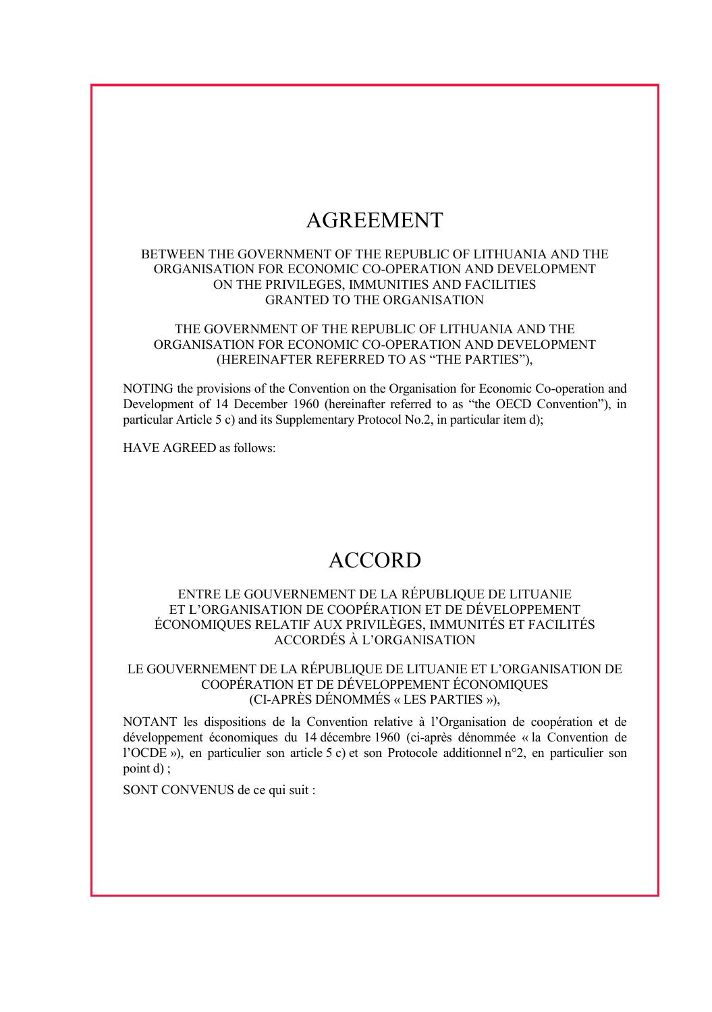# AGREEMENT

#### BETWEEN THE GOVERNMENT OF THE REPUBLIC OF LITHUANIA AND THE ORGANISATION FOR ECONOMIC CO-OPERATION AND DEVELOPMENT ON THE PRIVILEGES, IMMUNITIES AND FACILITIES GRANTED TO THE ORGANISATION

#### THE GOVERNMENT OF THE REPUBLIC OF LITHUANIA AND THE ORGANISATION FOR ECONOMIC CO-OPERATION AND DEVELOPMENT (HEREINAFTER REFERRED TO AS "THE PARTIES"),

NOTING the provisions of the Convention on the Organisation for Economic Co-operation and Development of 14 December 1960 (hereinafter referred to as "the OECD Convention"), in particular Article 5 c) and its Supplementary Protocol No.2, in particular item d);

HAVE AGREED as follows:

## ACCORD

#### ENTRE LE GOUVERNEMENT DE LA RÉPUBLIQUE DE LITUANIE ET L'ORGANISATION DE COOPÉRATION ET DE DÉVELOPPEMENT ÉCONOMIQUES RELATIF AUX PRIVILÈGES, IMMUNITÉS ET FACILITÉS ACCORDÉS À L'ORGANISATION

## LE GOUVERNEMENT DE LA RÉPUBLIQUE DE LITUANIE ET L'ORGANISATION DE COOPÉRATION ET DE DÉVELOPPEMENT ÉCONOMIQUES (CI-APRÈS DÉNOMMÉS « LES PARTIES »),

NOTANT les dispositions de la Convention relative à l'Organisation de coopération et de développement économiques du 14 décembre 1960 (ci-après dénommée « la Convention de l'OCDE »), en particulier son article 5 c) et son Protocole additionnel n°2, en particulier son point d) ;

SONT CONVENUS de ce qui suit :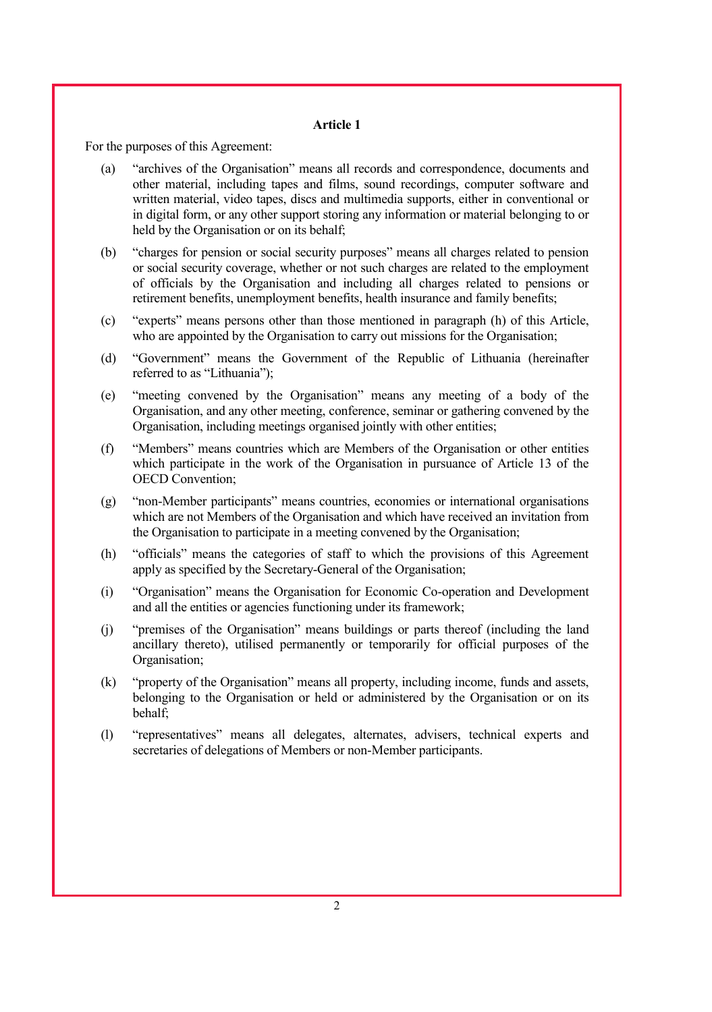For the purposes of this Agreement:

- (a) "archives of the Organisation" means all records and correspondence, documents and other material, including tapes and films, sound recordings, computer software and written material, video tapes, discs and multimedia supports, either in conventional or in digital form, or any other support storing any information or material belonging to or held by the Organisation or on its behalf;
- (b) "charges for pension or social security purposes" means all charges related to pension or social security coverage, whether or not such charges are related to the employment of officials by the Organisation and including all charges related to pensions or retirement benefits, unemployment benefits, health insurance and family benefits;
- (c) "experts" means persons other than those mentioned in paragraph (h) of this Article, who are appointed by the Organisation to carry out missions for the Organisation;
- (d) "Government" means the Government of the Republic of Lithuania (hereinafter referred to as "Lithuania");
- (e) "meeting convened by the Organisation" means any meeting of a body of the Organisation, and any other meeting, conference, seminar or gathering convened by the Organisation, including meetings organised jointly with other entities;
- (f) "Members" means countries which are Members of the Organisation or other entities which participate in the work of the Organisation in pursuance of Article 13 of the OECD Convention;
- (g) "non-Member participants" means countries, economies or international organisations which are not Members of the Organisation and which have received an invitation from the Organisation to participate in a meeting convened by the Organisation;
- (h) "officials" means the categories of staff to which the provisions of this Agreement apply as specified by the Secretary-General of the Organisation;
- (i) "Organisation" means the Organisation for Economic Co-operation and Development and all the entities or agencies functioning under its framework;
- (j) "premises of the Organisation" means buildings or parts thereof (including the land ancillary thereto), utilised permanently or temporarily for official purposes of the Organisation;
- (k) "property of the Organisation" means all property, including income, funds and assets, belonging to the Organisation or held or administered by the Organisation or on its behalf;
- (l) "representatives" means all delegates, alternates, advisers, technical experts and secretaries of delegations of Members or non-Member participants.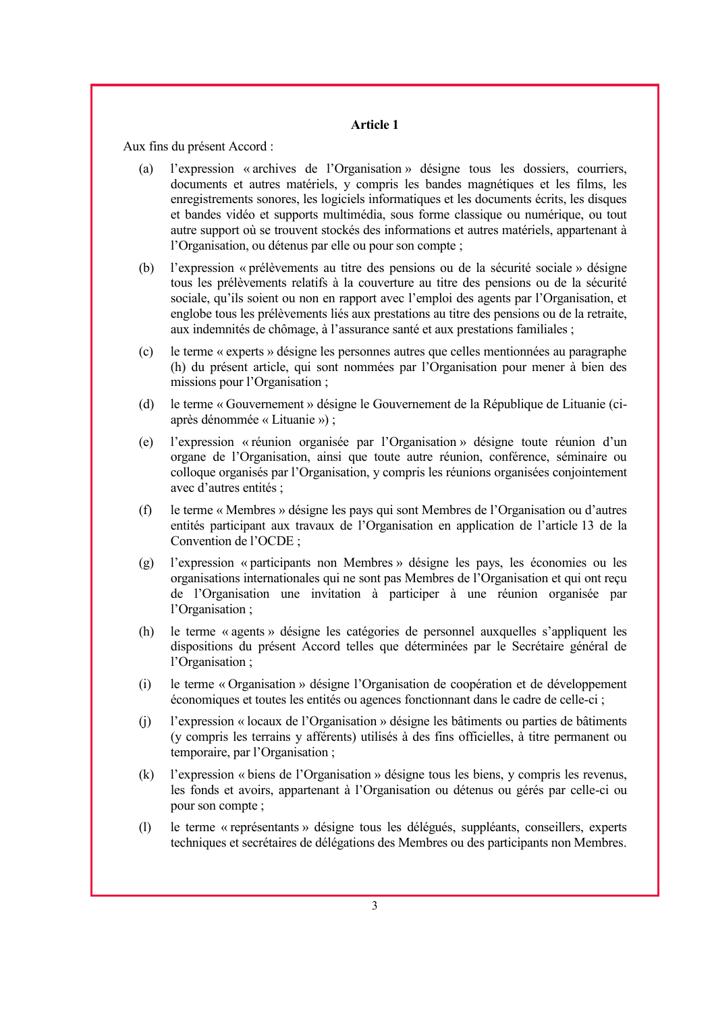Aux fins du présent Accord :

- (a) l'expression « archives de l'Organisation » désigne tous les dossiers, courriers, documents et autres matériels, y compris les bandes magnétiques et les films, les enregistrements sonores, les logiciels informatiques et les documents écrits, les disques et bandes vidéo et supports multimédia, sous forme classique ou numérique, ou tout autre support où se trouvent stockés des informations et autres matériels, appartenant à l'Organisation, ou détenus par elle ou pour son compte ;
- (b) l'expression « prélèvements au titre des pensions ou de la sécurité sociale » désigne tous les prélèvements relatifs à la couverture au titre des pensions ou de la sécurité sociale, qu'ils soient ou non en rapport avec l'emploi des agents par l'Organisation, et englobe tous les prélèvements liés aux prestations au titre des pensions ou de la retraite, aux indemnités de chômage, à l'assurance santé et aux prestations familiales ;
- (c) le terme « experts » désigne les personnes autres que celles mentionnées au paragraphe (h) du présent article, qui sont nommées par l'Organisation pour mener à bien des missions pour l'Organisation ;
- (d) le terme « Gouvernement » désigne le Gouvernement de la République de Lituanie (ciaprès dénommée « Lituanie ») ;
- (e) l'expression « réunion organisée par l'Organisation » désigne toute réunion d'un organe de l'Organisation, ainsi que toute autre réunion, conférence, séminaire ou colloque organisés par l'Organisation, y compris les réunions organisées conjointement avec d'autres entités ;
- (f) le terme « Membres » désigne les pays qui sont Membres de l'Organisation ou d'autres entités participant aux travaux de l'Organisation en application de l'article 13 de la Convention de l'OCDE ;
- (g) l'expression « participants non Membres » désigne les pays, les économies ou les organisations internationales qui ne sont pas Membres de l'Organisation et qui ont reçu de l'Organisation une invitation à participer à une réunion organisée par l'Organisation ;
- (h) le terme « agents » désigne les catégories de personnel auxquelles s'appliquent les dispositions du présent Accord telles que déterminées par le Secrétaire général de l'Organisation ;
- (i) le terme « Organisation » désigne l'Organisation de coopération et de développement économiques et toutes les entités ou agences fonctionnant dans le cadre de celle-ci ;
- (j) l'expression « locaux de l'Organisation » désigne les bâtiments ou parties de bâtiments (y compris les terrains y afférents) utilisés à des fins officielles, à titre permanent ou temporaire, par l'Organisation ;
- (k) l'expression « biens de l'Organisation » désigne tous les biens, y compris les revenus, les fonds et avoirs, appartenant à l'Organisation ou détenus ou gérés par celle-ci ou pour son compte ;
- (l) le terme « représentants » désigne tous les délégués, suppléants, conseillers, experts techniques et secrétaires de délégations des Membres ou des participants non Membres.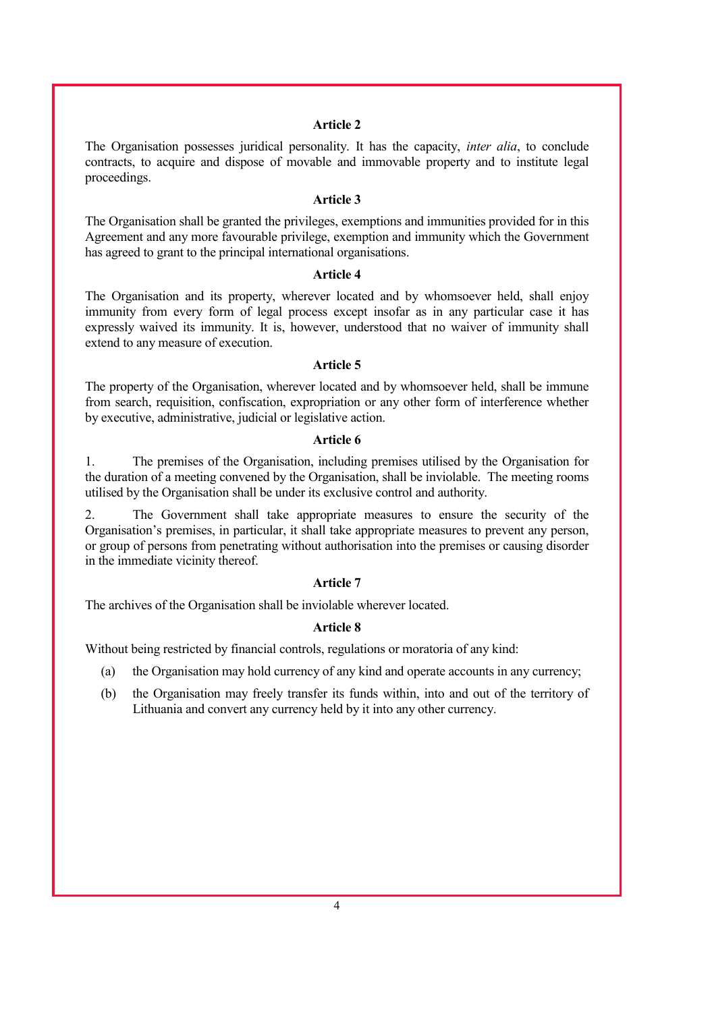The Organisation possesses juridical personality. It has the capacity, *inter alia*, to conclude contracts, to acquire and dispose of movable and immovable property and to institute legal proceedings.

#### **Article 3**

The Organisation shall be granted the privileges, exemptions and immunities provided for in this Agreement and any more favourable privilege, exemption and immunity which the Government has agreed to grant to the principal international organisations.

#### **Article 4**

The Organisation and its property, wherever located and by whomsoever held, shall enjoy immunity from every form of legal process except insofar as in any particular case it has expressly waived its immunity. It is, however, understood that no waiver of immunity shall extend to any measure of execution.

#### **Article 5**

The property of the Organisation, wherever located and by whomsoever held, shall be immune from search, requisition, confiscation, expropriation or any other form of interference whether by executive, administrative, judicial or legislative action.

#### **Article 6**

1. The premises of the Organisation, including premises utilised by the Organisation for the duration of a meeting convened by the Organisation, shall be inviolable. The meeting rooms utilised by the Organisation shall be under its exclusive control and authority.

2. The Government shall take appropriate measures to ensure the security of the Organisation's premises, in particular, it shall take appropriate measures to prevent any person, or group of persons from penetrating without authorisation into the premises or causing disorder in the immediate vicinity thereof.

#### **Article 7**

The archives of the Organisation shall be inviolable wherever located.

#### **Article 8**

Without being restricted by financial controls, regulations or moratoria of any kind:

- (a) the Organisation may hold currency of any kind and operate accounts in any currency;
- (b) the Organisation may freely transfer its funds within, into and out of the territory of Lithuania and convert any currency held by it into any other currency.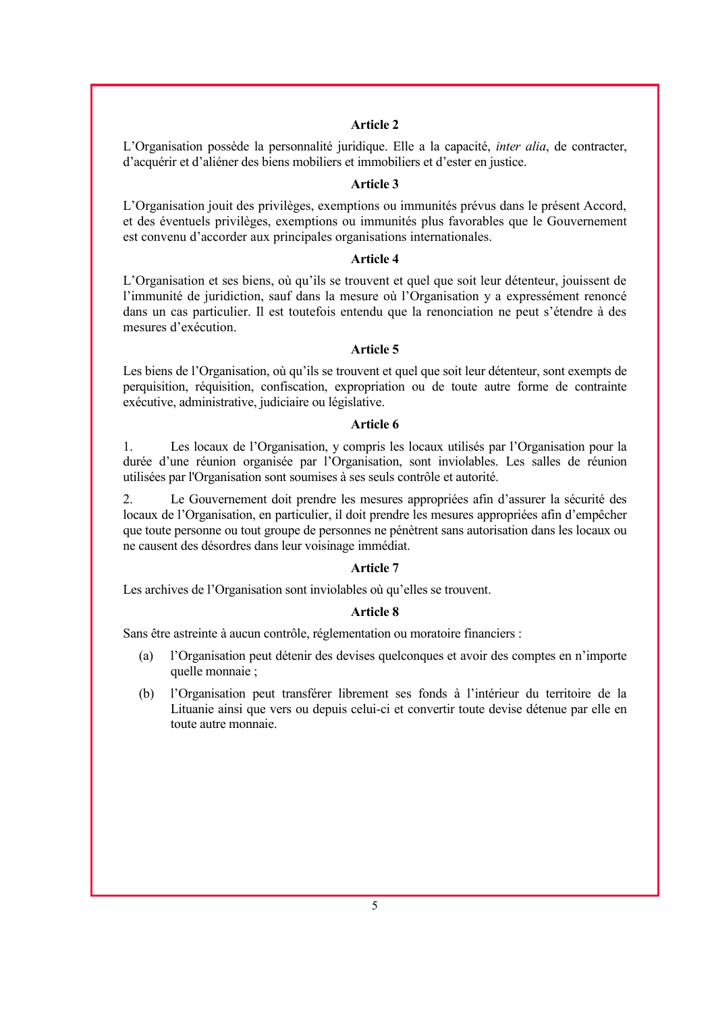L'Organisation possède la personnalité juridique. Elle a la capacité, *inter alia*, de contracter, d'acquérir et d'aliéner des biens mobiliers et immobiliers et d'ester en justice.

#### **Article 3**

L'Organisation jouit des privilèges, exemptions ou immunités prévus dans le présent Accord, et des éventuels privilèges, exemptions ou immunités plus favorables que le Gouvernement est convenu d'accorder aux principales organisations internationales.

## **Article 4**

L'Organisation et ses biens, où qu'ils se trouvent et quel que soit leur détenteur, jouissent de l'immunité de juridiction, sauf dans la mesure où l'Organisation y a expressément renoncé dans un cas particulier. Il est toutefois entendu que la renonciation ne peut s'étendre à des mesures d'exécution.

#### **Article 5**

Les biens de l'Organisation, où qu'ils se trouvent et quel que soit leur détenteur, sont exempts de perquisition, réquisition, confiscation, expropriation ou de toute autre forme de contrainte exécutive, administrative, judiciaire ou législative.

#### **Article 6**

1. Les locaux de l'Organisation, y compris les locaux utilisés par l'Organisation pour la durée d'une réunion organisée par l'Organisation, sont inviolables. Les salles de réunion utilisées par l'Organisation sont soumises à ses seuls contrôle et autorité.

2. Le Gouvernement doit prendre les mesures appropriées afin d'assurer la sécurité des locaux de l'Organisation, en particulier, il doit prendre les mesures appropriées afin d'empêcher que toute personne ou tout groupe de personnes ne pénètrent sans autorisation dans les locaux ou ne causent des désordres dans leur voisinage immédiat.

#### **Article 7**

Les archives de l'Organisation sont inviolables où qu'elles se trouvent.

#### **Article 8**

Sans être astreinte à aucun contrôle, réglementation ou moratoire financiers :

- (a) l'Organisation peut détenir des devises quelconques et avoir des comptes en n'importe quelle monnaie ;
- (b) l'Organisation peut transférer librement ses fonds à l'intérieur du territoire de la Lituanie ainsi que vers ou depuis celui-ci et convertir toute devise détenue par elle en toute autre monnaie.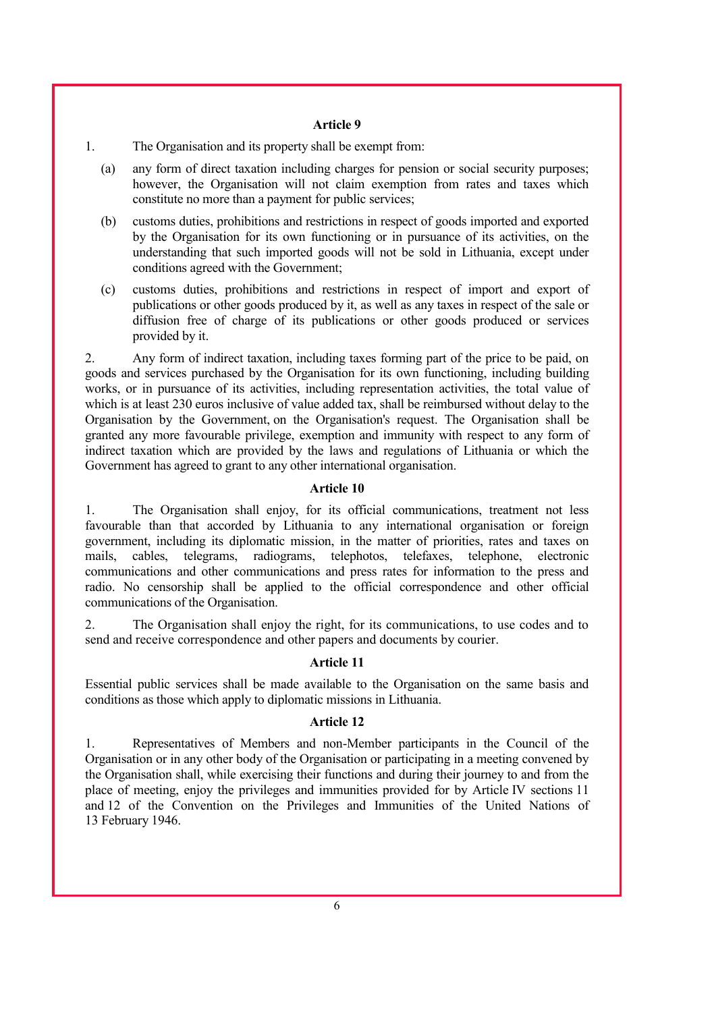1. The Organisation and its property shall be exempt from:

- (a) any form of direct taxation including charges for pension or social security purposes; however, the Organisation will not claim exemption from rates and taxes which constitute no more than a payment for public services;
- (b) customs duties, prohibitions and restrictions in respect of goods imported and exported by the Organisation for its own functioning or in pursuance of its activities, on the understanding that such imported goods will not be sold in Lithuania, except under conditions agreed with the Government;
- (c) customs duties, prohibitions and restrictions in respect of import and export of publications or other goods produced by it, as well as any taxes in respect of the sale or diffusion free of charge of its publications or other goods produced or services provided by it.

2. Any form of indirect taxation, including taxes forming part of the price to be paid, on goods and services purchased by the Organisation for its own functioning, including building works, or in pursuance of its activities, including representation activities, the total value of which is at least 230 euros inclusive of value added tax, shall be reimbursed without delay to the Organisation by the Government, on the Organisation's request. The Organisation shall be granted any more favourable privilege, exemption and immunity with respect to any form of indirect taxation which are provided by the laws and regulations of Lithuania or which the Government has agreed to grant to any other international organisation.

#### **Article 10**

1. The Organisation shall enjoy, for its official communications, treatment not less favourable than that accorded by Lithuania to any international organisation or foreign government, including its diplomatic mission, in the matter of priorities, rates and taxes on mails, cables, telegrams, radiograms, telephotos, telefaxes, telephone, electronic communications and other communications and press rates for information to the press and radio. No censorship shall be applied to the official correspondence and other official communications of the Organisation.

2. The Organisation shall enjoy the right, for its communications, to use codes and to send and receive correspondence and other papers and documents by courier.

#### **Article 11**

Essential public services shall be made available to the Organisation on the same basis and conditions as those which apply to diplomatic missions in Lithuania.

#### **Article 12**

1. Representatives of Members and non-Member participants in the Council of the Organisation or in any other body of the Organisation or participating in a meeting convened by the Organisation shall, while exercising their functions and during their journey to and from the place of meeting, enjoy the privileges and immunities provided for by Article IV sections 11 and 12 of the Convention on the Privileges and Immunities of the United Nations of 13 February 1946.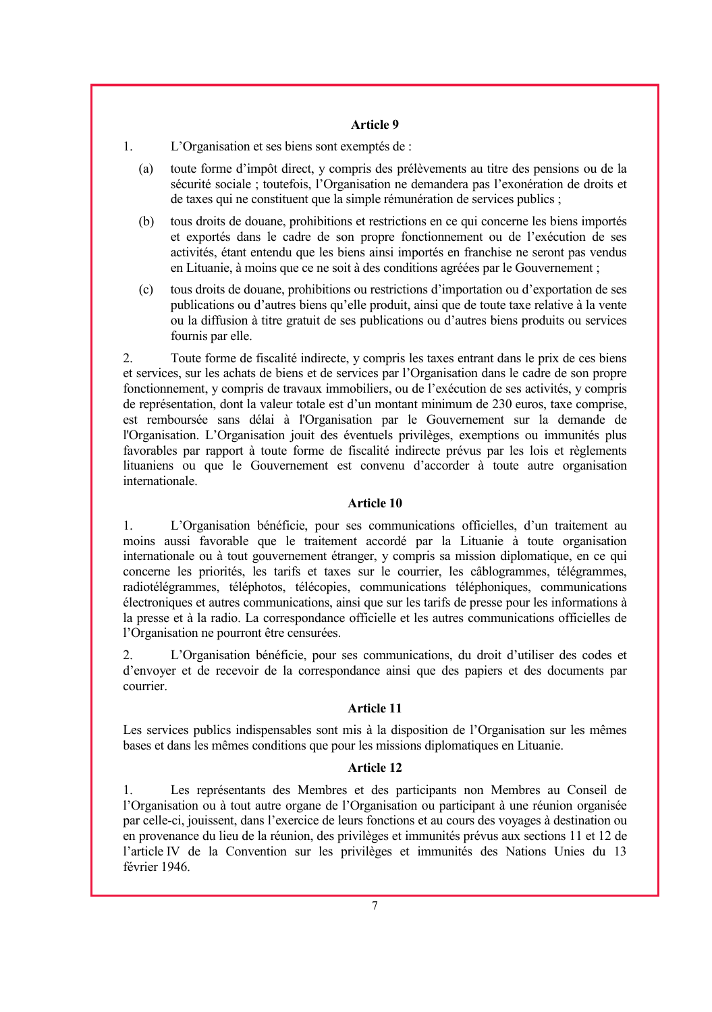1. L'Organisation et ses biens sont exemptés de :

- (a) toute forme d'impôt direct, y compris des prélèvements au titre des pensions ou de la sécurité sociale ; toutefois, l'Organisation ne demandera pas l'exonération de droits et de taxes qui ne constituent que la simple rémunération de services publics ;
- (b) tous droits de douane, prohibitions et restrictions en ce qui concerne les biens importés et exportés dans le cadre de son propre fonctionnement ou de l'exécution de ses activités, étant entendu que les biens ainsi importés en franchise ne seront pas vendus en Lituanie, à moins que ce ne soit à des conditions agréées par le Gouvernement ;
- (c) tous droits de douane, prohibitions ou restrictions d'importation ou d'exportation de ses publications ou d'autres biens qu'elle produit, ainsi que de toute taxe relative à la vente ou la diffusion à titre gratuit de ses publications ou d'autres biens produits ou services fournis par elle.

2. Toute forme de fiscalité indirecte, y compris les taxes entrant dans le prix de ces biens et services, sur les achats de biens et de services par l'Organisation dans le cadre de son propre fonctionnement, y compris de travaux immobiliers, ou de l'exécution de ses activités, y compris de représentation, dont la valeur totale est d'un montant minimum de 230 euros, taxe comprise, est remboursée sans délai à l'Organisation par le Gouvernement sur la demande de l'Organisation. L'Organisation jouit des éventuels privilèges, exemptions ou immunités plus favorables par rapport à toute forme de fiscalité indirecte prévus par les lois et règlements lituaniens ou que le Gouvernement est convenu d'accorder à toute autre organisation internationale.

## **Article 10**

1. L'Organisation bénéficie, pour ses communications officielles, d'un traitement au moins aussi favorable que le traitement accordé par la Lituanie à toute organisation internationale ou à tout gouvernement étranger, y compris sa mission diplomatique, en ce qui concerne les priorités, les tarifs et taxes sur le courrier, les câblogrammes, télégrammes, radiotélégrammes, téléphotos, télécopies, communications téléphoniques, communications électroniques et autres communications, ainsi que sur les tarifs de presse pour les informations à la presse et à la radio. La correspondance officielle et les autres communications officielles de l'Organisation ne pourront être censurées.

2. L'Organisation bénéficie, pour ses communications, du droit d'utiliser des codes et d'envoyer et de recevoir de la correspondance ainsi que des papiers et des documents par courrier.

## **Article 11**

Les services publics indispensables sont mis à la disposition de l'Organisation sur les mêmes bases et dans les mêmes conditions que pour les missions diplomatiques en Lituanie.

#### **Article 12**

1. Les représentants des Membres et des participants non Membres au Conseil de l'Organisation ou à tout autre organe de l'Organisation ou participant à une réunion organisée par celle-ci, jouissent, dans l'exercice de leurs fonctions et au cours des voyages à destination ou en provenance du lieu de la réunion, des privilèges et immunités prévus aux sections 11 et 12 de l'article IV de la Convention sur les privilèges et immunités des Nations Unies du 13 février 1946.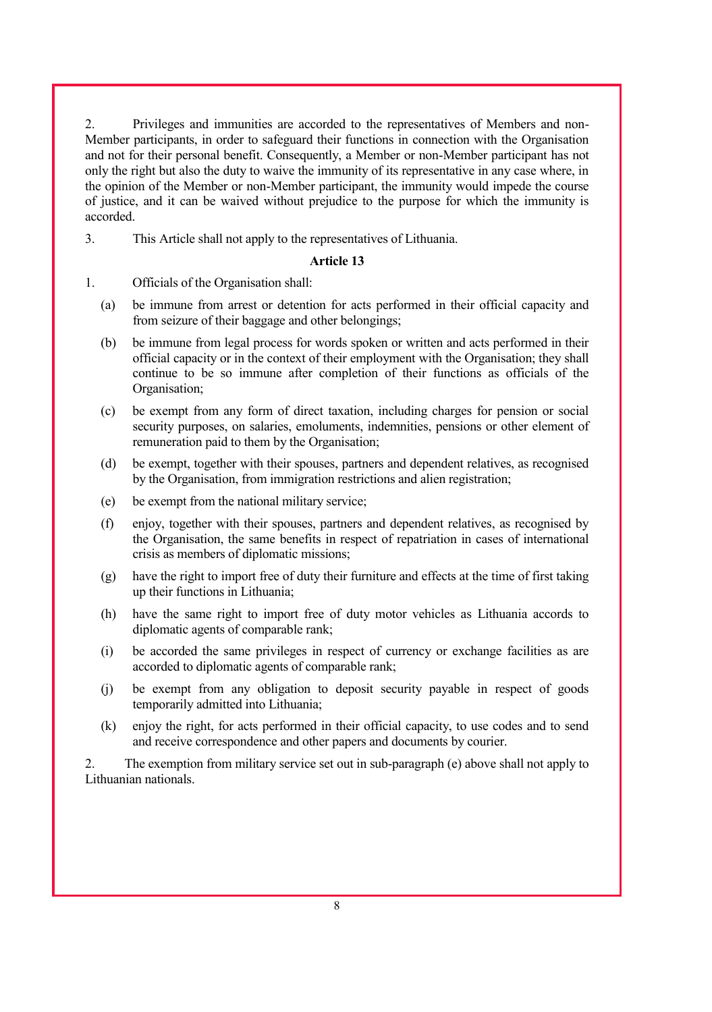2. Privileges and immunities are accorded to the representatives of Members and non-Member participants, in order to safeguard their functions in connection with the Organisation and not for their personal benefit. Consequently, a Member or non-Member participant has not only the right but also the duty to waive the immunity of its representative in any case where, in the opinion of the Member or non-Member participant, the immunity would impede the course of justice, and it can be waived without prejudice to the purpose for which the immunity is accorded.

3. This Article shall not apply to the representatives of Lithuania.

#### **Article 13**

- 1. Officials of the Organisation shall:
	- (a) be immune from arrest or detention for acts performed in their official capacity and from seizure of their baggage and other belongings;
	- (b) be immune from legal process for words spoken or written and acts performed in their official capacity or in the context of their employment with the Organisation; they shall continue to be so immune after completion of their functions as officials of the Organisation;
	- (c) be exempt from any form of direct taxation, including charges for pension or social security purposes, on salaries, emoluments, indemnities, pensions or other element of remuneration paid to them by the Organisation;
	- (d) be exempt, together with their spouses, partners and dependent relatives, as recognised by the Organisation, from immigration restrictions and alien registration;
	- (e) be exempt from the national military service;
	- (f) enjoy, together with their spouses, partners and dependent relatives, as recognised by the Organisation, the same benefits in respect of repatriation in cases of international crisis as members of diplomatic missions;
	- (g) have the right to import free of duty their furniture and effects at the time of first taking up their functions in Lithuania;
	- (h) have the same right to import free of duty motor vehicles as Lithuania accords to diplomatic agents of comparable rank;
	- (i) be accorded the same privileges in respect of currency or exchange facilities as are accorded to diplomatic agents of comparable rank;
	- (j) be exempt from any obligation to deposit security payable in respect of goods temporarily admitted into Lithuania;
	- (k) enjoy the right, for acts performed in their official capacity, to use codes and to send and receive correspondence and other papers and documents by courier.

2. The exemption from military service set out in sub-paragraph (e) above shall not apply to Lithuanian nationals.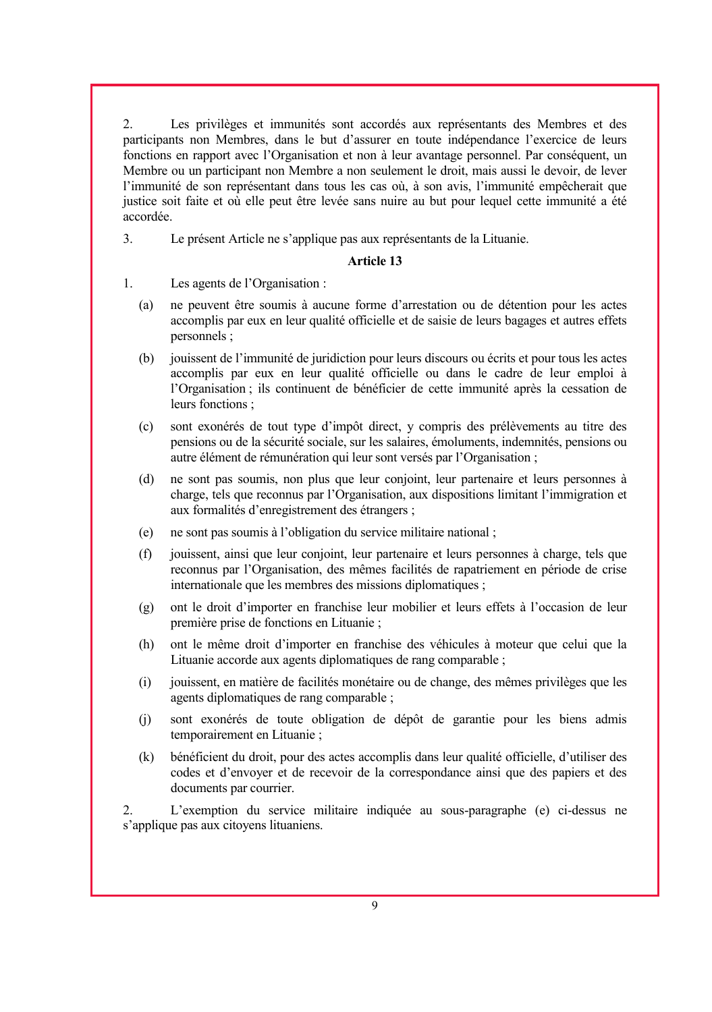2. Les privilèges et immunités sont accordés aux représentants des Membres et des participants non Membres, dans le but d'assurer en toute indépendance l'exercice de leurs fonctions en rapport avec l'Organisation et non à leur avantage personnel. Par conséquent, un Membre ou un participant non Membre a non seulement le droit, mais aussi le devoir, de lever l'immunité de son représentant dans tous les cas où, à son avis, l'immunité empêcherait que justice soit faite et où elle peut être levée sans nuire au but pour lequel cette immunité a été accordée.

3. Le présent Article ne s'applique pas aux représentants de la Lituanie.

## **Article 13**

- 1. Les agents de l'Organisation :
	- (a) ne peuvent être soumis à aucune forme d'arrestation ou de détention pour les actes accomplis par eux en leur qualité officielle et de saisie de leurs bagages et autres effets personnels ;
	- (b) jouissent de l'immunité de juridiction pour leurs discours ou écrits et pour tous les actes accomplis par eux en leur qualité officielle ou dans le cadre de leur emploi à l'Organisation ; ils continuent de bénéficier de cette immunité après la cessation de leurs fonctions ;
	- (c) sont exonérés de tout type d'impôt direct, y compris des prélèvements au titre des pensions ou de la sécurité sociale, sur les salaires, émoluments, indemnités, pensions ou autre élément de rémunération qui leur sont versés par l'Organisation ;
	- (d) ne sont pas soumis, non plus que leur conjoint, leur partenaire et leurs personnes à charge, tels que reconnus par l'Organisation, aux dispositions limitant l'immigration et aux formalités d'enregistrement des étrangers ;
	- (e) ne sont pas soumis à l'obligation du service militaire national ;
	- (f) jouissent, ainsi que leur conjoint, leur partenaire et leurs personnes à charge, tels que reconnus par l'Organisation, des mêmes facilités de rapatriement en période de crise internationale que les membres des missions diplomatiques ;
	- (g) ont le droit d'importer en franchise leur mobilier et leurs effets à l'occasion de leur première prise de fonctions en Lituanie ;
	- (h) ont le même droit d'importer en franchise des véhicules à moteur que celui que la Lituanie accorde aux agents diplomatiques de rang comparable ;
	- (i) jouissent, en matière de facilités monétaire ou de change, des mêmes privilèges que les agents diplomatiques de rang comparable ;
	- (j) sont exonérés de toute obligation de dépôt de garantie pour les biens admis temporairement en Lituanie ;
	- (k) bénéficient du droit, pour des actes accomplis dans leur qualité officielle, d'utiliser des codes et d'envoyer et de recevoir de la correspondance ainsi que des papiers et des documents par courrier.

2. L'exemption du service militaire indiquée au sous-paragraphe (e) ci-dessus ne s'applique pas aux citoyens lituaniens.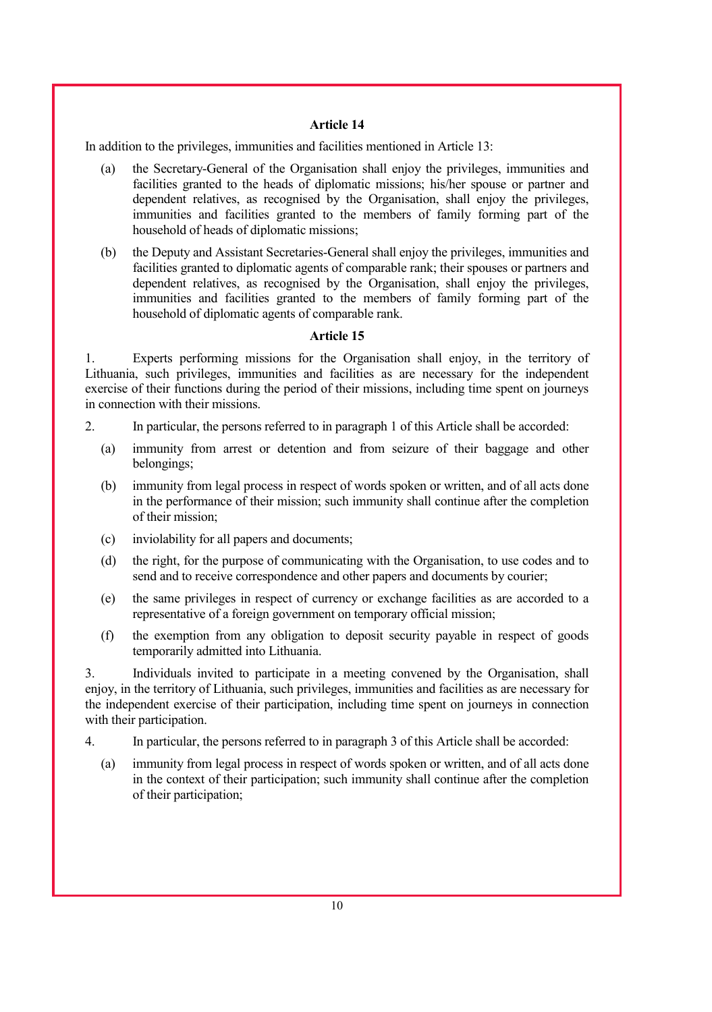In addition to the privileges, immunities and facilities mentioned in Article 13:

- (a) the Secretary-General of the Organisation shall enjoy the privileges, immunities and facilities granted to the heads of diplomatic missions; his/her spouse or partner and dependent relatives, as recognised by the Organisation, shall enjoy the privileges, immunities and facilities granted to the members of family forming part of the household of heads of diplomatic missions;
- (b) the Deputy and Assistant Secretaries-General shall enjoy the privileges, immunities and facilities granted to diplomatic agents of comparable rank; their spouses or partners and dependent relatives, as recognised by the Organisation, shall enjoy the privileges, immunities and facilities granted to the members of family forming part of the household of diplomatic agents of comparable rank.

## **Article 15**

1. Experts performing missions for the Organisation shall enjoy, in the territory of Lithuania, such privileges, immunities and facilities as are necessary for the independent exercise of their functions during the period of their missions, including time spent on journeys in connection with their missions.

- 2. In particular, the persons referred to in paragraph 1 of this Article shall be accorded:
	- (a) immunity from arrest or detention and from seizure of their baggage and other belongings;
	- (b) immunity from legal process in respect of words spoken or written, and of all acts done in the performance of their mission; such immunity shall continue after the completion of their mission;
	- (c) inviolability for all papers and documents;
	- (d) the right, for the purpose of communicating with the Organisation, to use codes and to send and to receive correspondence and other papers and documents by courier;
	- (e) the same privileges in respect of currency or exchange facilities as are accorded to a representative of a foreign government on temporary official mission;
	- (f) the exemption from any obligation to deposit security payable in respect of goods temporarily admitted into Lithuania.

3. Individuals invited to participate in a meeting convened by the Organisation, shall enjoy, in the territory of Lithuania, such privileges, immunities and facilities as are necessary for the independent exercise of their participation, including time spent on journeys in connection with their participation.

- 4. In particular, the persons referred to in paragraph 3 of this Article shall be accorded:
	- (a) immunity from legal process in respect of words spoken or written, and of all acts done in the context of their participation; such immunity shall continue after the completion of their participation;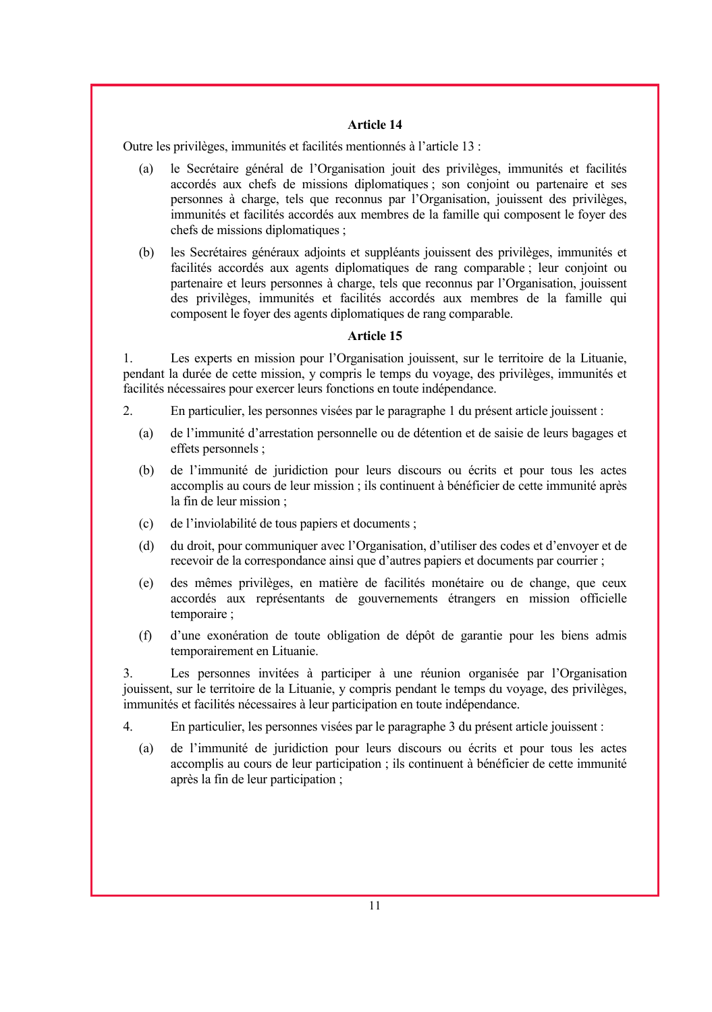Outre les privilèges, immunités et facilités mentionnés à l'article 13 :

- (a) le Secrétaire général de l'Organisation jouit des privilèges, immunités et facilités accordés aux chefs de missions diplomatiques ; son conjoint ou partenaire et ses personnes à charge, tels que reconnus par l'Organisation, jouissent des privilèges, immunités et facilités accordés aux membres de la famille qui composent le foyer des chefs de missions diplomatiques ;
- (b) les Secrétaires généraux adjoints et suppléants jouissent des privilèges, immunités et facilités accordés aux agents diplomatiques de rang comparable ; leur conjoint ou partenaire et leurs personnes à charge, tels que reconnus par l'Organisation, jouissent des privilèges, immunités et facilités accordés aux membres de la famille qui composent le foyer des agents diplomatiques de rang comparable.

## **Article 15**

1. Les experts en mission pour l'Organisation jouissent, sur le territoire de la Lituanie, pendant la durée de cette mission, y compris le temps du voyage, des privilèges, immunités et facilités nécessaires pour exercer leurs fonctions en toute indépendance.

- 2. En particulier, les personnes visées par le paragraphe 1 du présent article jouissent :
	- (a) de l'immunité d'arrestation personnelle ou de détention et de saisie de leurs bagages et effets personnels ;
	- (b) de l'immunité de juridiction pour leurs discours ou écrits et pour tous les actes accomplis au cours de leur mission ; ils continuent à bénéficier de cette immunité après la fin de leur mission ;
	- (c) de l'inviolabilité de tous papiers et documents ;
	- (d) du droit, pour communiquer avec l'Organisation, d'utiliser des codes et d'envoyer et de recevoir de la correspondance ainsi que d'autres papiers et documents par courrier ;
	- (e) des mêmes privilèges, en matière de facilités monétaire ou de change, que ceux accordés aux représentants de gouvernements étrangers en mission officielle temporaire ;
	- (f) d'une exonération de toute obligation de dépôt de garantie pour les biens admis temporairement en Lituanie.

3. Les personnes invitées à participer à une réunion organisée par l'Organisation jouissent, sur le territoire de la Lituanie, y compris pendant le temps du voyage, des privilèges, immunités et facilités nécessaires à leur participation en toute indépendance.

- 4. En particulier, les personnes visées par le paragraphe 3 du présent article jouissent :
	- (a) de l'immunité de juridiction pour leurs discours ou écrits et pour tous les actes accomplis au cours de leur participation ; ils continuent à bénéficier de cette immunité après la fin de leur participation ;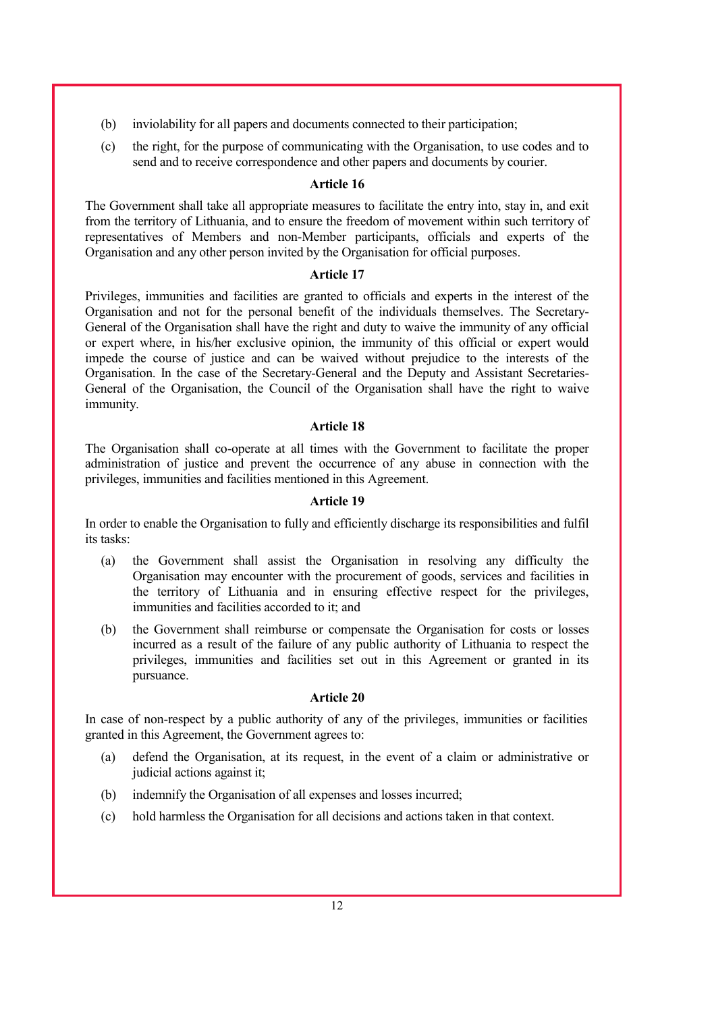- (b) inviolability for all papers and documents connected to their participation;
- (c) the right, for the purpose of communicating with the Organisation, to use codes and to send and to receive correspondence and other papers and documents by courier.

The Government shall take all appropriate measures to facilitate the entry into, stay in, and exit from the territory of Lithuania, and to ensure the freedom of movement within such territory of representatives of Members and non-Member participants, officials and experts of the Organisation and any other person invited by the Organisation for official purposes.

#### **Article 17**

Privileges, immunities and facilities are granted to officials and experts in the interest of the Organisation and not for the personal benefit of the individuals themselves. The Secretary-General of the Organisation shall have the right and duty to waive the immunity of any official or expert where, in his/her exclusive opinion, the immunity of this official or expert would impede the course of justice and can be waived without prejudice to the interests of the Organisation. In the case of the Secretary-General and the Deputy and Assistant Secretaries-General of the Organisation, the Council of the Organisation shall have the right to waive immunity.

## **Article 18**

The Organisation shall co-operate at all times with the Government to facilitate the proper administration of justice and prevent the occurrence of any abuse in connection with the privileges, immunities and facilities mentioned in this Agreement.

#### **Article 19**

In order to enable the Organisation to fully and efficiently discharge its responsibilities and fulfil its tasks:

- (a) the Government shall assist the Organisation in resolving any difficulty the Organisation may encounter with the procurement of goods, services and facilities in the territory of Lithuania and in ensuring effective respect for the privileges, immunities and facilities accorded to it; and
- (b) the Government shall reimburse or compensate the Organisation for costs or losses incurred as a result of the failure of any public authority of Lithuania to respect the privileges, immunities and facilities set out in this Agreement or granted in its pursuance.

#### **Article 20**

In case of non-respect by a public authority of any of the privileges, immunities or facilities granted in this Agreement, the Government agrees to:

- (a) defend the Organisation, at its request, in the event of a claim or administrative or judicial actions against it;
- (b) indemnify the Organisation of all expenses and losses incurred;
- (c) hold harmless the Organisation for all decisions and actions taken in that context.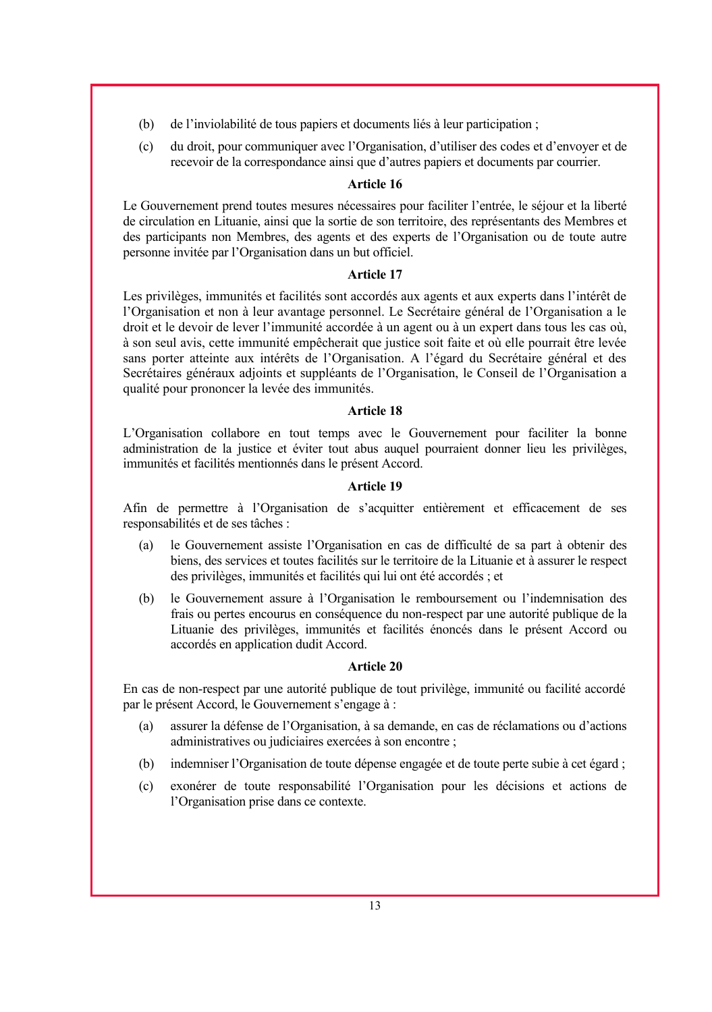- (b) de l'inviolabilité de tous papiers et documents liés à leur participation ;
- (c) du droit, pour communiquer avec l'Organisation, d'utiliser des codes et d'envoyer et de recevoir de la correspondance ainsi que d'autres papiers et documents par courrier.

Le Gouvernement prend toutes mesures nécessaires pour faciliter l'entrée, le séjour et la liberté de circulation en Lituanie, ainsi que la sortie de son territoire, des représentants des Membres et des participants non Membres, des agents et des experts de l'Organisation ou de toute autre personne invitée par l'Organisation dans un but officiel.

#### **Article 17**

Les privilèges, immunités et facilités sont accordés aux agents et aux experts dans l'intérêt de l'Organisation et non à leur avantage personnel. Le Secrétaire général de l'Organisation a le droit et le devoir de lever l'immunité accordée à un agent ou à un expert dans tous les cas où, à son seul avis, cette immunité empêcherait que justice soit faite et où elle pourrait être levée sans porter atteinte aux intérêts de l'Organisation. A l'égard du Secrétaire général et des Secrétaires généraux adjoints et suppléants de l'Organisation, le Conseil de l'Organisation a qualité pour prononcer la levée des immunités.

#### **Article 18**

L'Organisation collabore en tout temps avec le Gouvernement pour faciliter la bonne administration de la justice et éviter tout abus auquel pourraient donner lieu les privilèges, immunités et facilités mentionnés dans le présent Accord.

#### **Article 19**

Afin de permettre à l'Organisation de s'acquitter entièrement et efficacement de ses responsabilités et de ses tâches :

- (a) le Gouvernement assiste l'Organisation en cas de difficulté de sa part à obtenir des biens, des services et toutes facilités sur le territoire de la Lituanie et à assurer le respect des privilèges, immunités et facilités qui lui ont été accordés ; et
- (b) le Gouvernement assure à l'Organisation le remboursement ou l'indemnisation des frais ou pertes encourus en conséquence du non-respect par une autorité publique de la Lituanie des privilèges, immunités et facilités énoncés dans le présent Accord ou accordés en application dudit Accord.

#### **Article 20**

En cas de non-respect par une autorité publique de tout privilège, immunité ou facilité accordé par le présent Accord, le Gouvernement s'engage à :

- (a) assurer la défense de l'Organisation, à sa demande, en cas de réclamations ou d'actions administratives ou judiciaires exercées à son encontre ;
- (b) indemniser l'Organisation de toute dépense engagée et de toute perte subie à cet égard ;
- (c) exonérer de toute responsabilité l'Organisation pour les décisions et actions de l'Organisation prise dans ce contexte.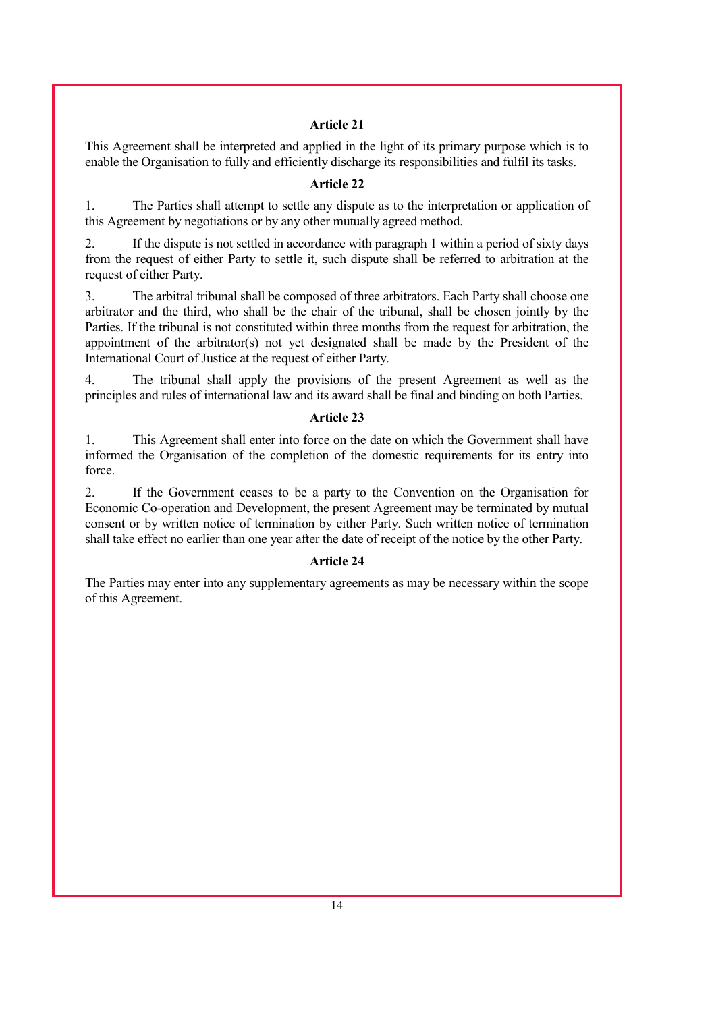This Agreement shall be interpreted and applied in the light of its primary purpose which is to enable the Organisation to fully and efficiently discharge its responsibilities and fulfil its tasks.

#### **Article 22**

1. The Parties shall attempt to settle any dispute as to the interpretation or application of this Agreement by negotiations or by any other mutually agreed method.

2. If the dispute is not settled in accordance with paragraph 1 within a period of sixty days from the request of either Party to settle it, such dispute shall be referred to arbitration at the request of either Party.

3. The arbitral tribunal shall be composed of three arbitrators. Each Party shall choose one arbitrator and the third, who shall be the chair of the tribunal, shall be chosen jointly by the Parties. If the tribunal is not constituted within three months from the request for arbitration, the appointment of the arbitrator(s) not yet designated shall be made by the President of the International Court of Justice at the request of either Party.

4. The tribunal shall apply the provisions of the present Agreement as well as the principles and rules of international law and its award shall be final and binding on both Parties.

#### **Article 23**

1. This Agreement shall enter into force on the date on which the Government shall have informed the Organisation of the completion of the domestic requirements for its entry into force.

2. If the Government ceases to be a party to the Convention on the Organisation for Economic Co-operation and Development, the present Agreement may be terminated by mutual consent or by written notice of termination by either Party. Such written notice of termination shall take effect no earlier than one year after the date of receipt of the notice by the other Party.

#### **Article 24**

The Parties may enter into any supplementary agreements as may be necessary within the scope of this Agreement.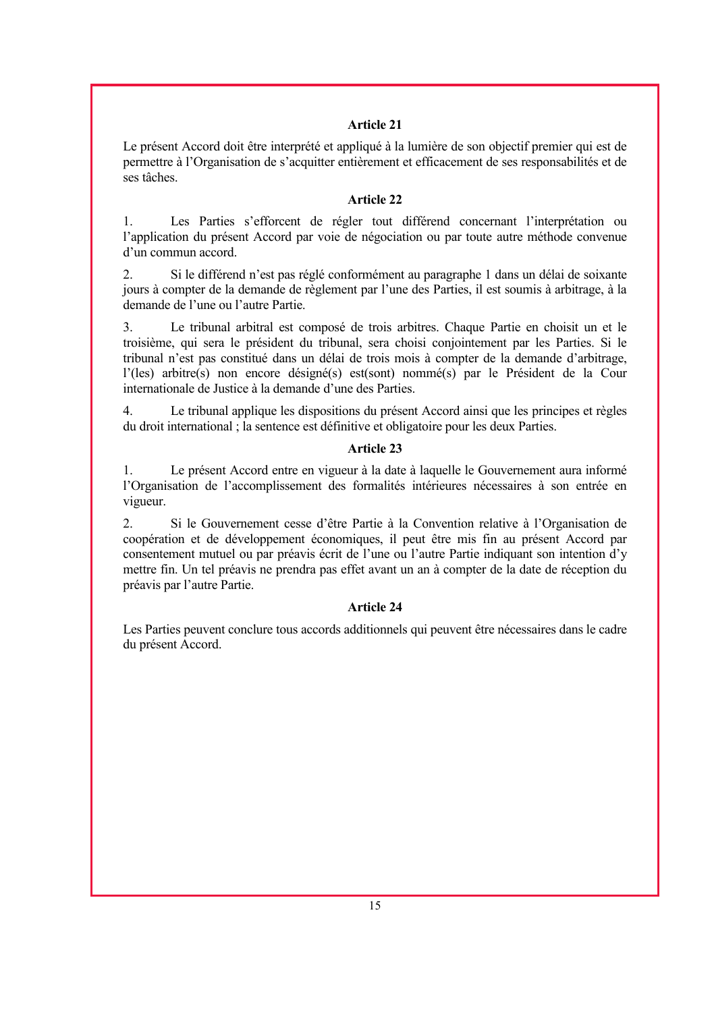Le présent Accord doit être interprété et appliqué à la lumière de son objectif premier qui est de permettre à l'Organisation de s'acquitter entièrement et efficacement de ses responsabilités et de ses tâches.

## **Article 22**

1. Les Parties s'efforcent de régler tout différend concernant l'interprétation ou l'application du présent Accord par voie de négociation ou par toute autre méthode convenue d'un commun accord.

2. Si le différend n'est pas réglé conformément au paragraphe 1 dans un délai de soixante jours à compter de la demande de règlement par l'une des Parties, il est soumis à arbitrage, à la demande de l'une ou l'autre Partie.

3. Le tribunal arbitral est composé de trois arbitres. Chaque Partie en choisit un et le troisième, qui sera le président du tribunal, sera choisi conjointement par les Parties. Si le tribunal n'est pas constitué dans un délai de trois mois à compter de la demande d'arbitrage, l'(les) arbitre(s) non encore désigné(s) est(sont) nommé(s) par le Président de la Cour internationale de Justice à la demande d'une des Parties.

4. Le tribunal applique les dispositions du présent Accord ainsi que les principes et règles du droit international ; la sentence est définitive et obligatoire pour les deux Parties.

#### **Article 23**

1. Le présent Accord entre en vigueur à la date à laquelle le Gouvernement aura informé l'Organisation de l'accomplissement des formalités intérieures nécessaires à son entrée en vigueur.

2. Si le Gouvernement cesse d'être Partie à la Convention relative à l'Organisation de coopération et de développement économiques, il peut être mis fin au présent Accord par consentement mutuel ou par préavis écrit de l'une ou l'autre Partie indiquant son intention d'y mettre fin. Un tel préavis ne prendra pas effet avant un an à compter de la date de réception du préavis par l'autre Partie.

## **Article 24**

Les Parties peuvent conclure tous accords additionnels qui peuvent être nécessaires dans le cadre du présent Accord.